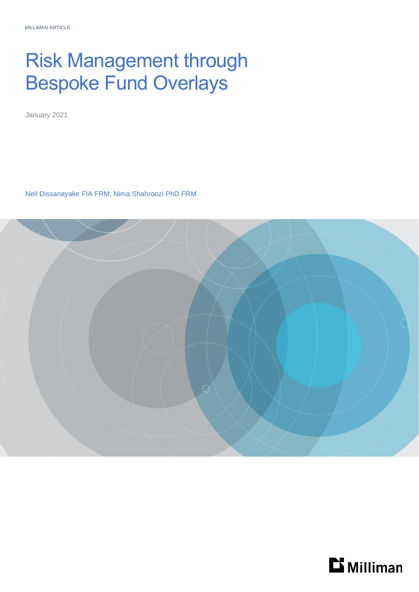# Risk Management through Bespoke Fund Overlays

January 2021

Neil Dissanayake FIA FRM, Nima Shahroozi PhD FRM



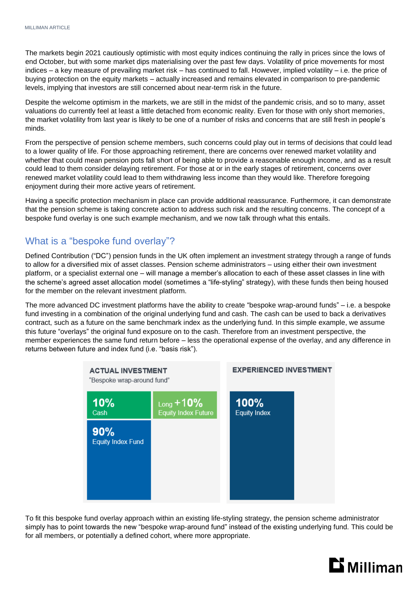The markets begin 2021 cautiously optimistic with most equity indices continuing the rally in prices since the lows of end October, but with some market dips materialising over the past few days. Volatility of price movements for most indices – a key measure of prevailing market risk – has continued to fall. However, implied volatility – i.e. the price of buying protection on the equity markets – actually increased and remains elevated in comparison to pre-pandemic levels, implying that investors are still concerned about near-term risk in the future.

Despite the welcome optimism in the markets, we are still in the midst of the pandemic crisis, and so to many, asset valuations do currently feel at least a little detached from economic reality. Even for those with only short memories, the market volatility from last year is likely to be one of a number of risks and concerns that are still fresh in people's minds.

From the perspective of pension scheme members, such concerns could play out in terms of decisions that could lead to a lower quality of life. For those approaching retirement, there are concerns over renewed market volatility and whether that could mean pension pots fall short of being able to provide a reasonable enough income, and as a result could lead to them consider delaying retirement. For those at or in the early stages of retirement, concerns over renewed market volatility could lead to them withdrawing less income than they would like. Therefore foregoing enjoyment during their more active years of retirement.

Having a specific protection mechanism in place can provide additional reassurance. Furthermore, it can demonstrate that the pension scheme is taking concrete action to address such risk and the resulting concerns. The concept of a bespoke fund overlay is one such example mechanism, and we now talk through what this entails.

## What is a "bespoke fund overlay"?

Defined Contribution ("DC") pension funds in the UK often implement an investment strategy through a range of funds to allow for a diversified mix of asset classes. Pension scheme administrators – using either their own investment platform, or a specialist external one – will manage a member's allocation to each of these asset classes in line with the scheme's agreed asset allocation model (sometimes a "life-styling" strategy), with these funds then being housed for the member on the relevant investment platform.

The more advanced DC investment platforms have the ability to create "bespoke wrap-around funds" – i.e. a bespoke fund investing in a combination of the original underlying fund and cash. The cash can be used to back a derivatives contract, such as a future on the same benchmark index as the underlying fund. In this simple example, we assume this future "overlays" the original fund exposure on to the cash. Therefore from an investment perspective, the member experiences the same fund return before – less the operational expense of the overlay, and any difference in returns between future and index fund (i.e. "basis risk").



To fit this bespoke fund overlay approach within an existing life-styling strategy, the pension scheme administrator simply has to point towards the new "bespoke wrap-around fund" instead of the existing underlying fund. This could be for all members, or potentially a defined cohort, where more appropriate.

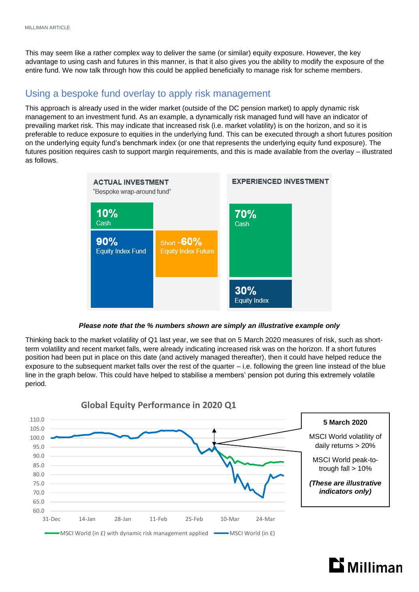This may seem like a rather complex way to deliver the same (or similar) equity exposure. However, the key advantage to using cash and futures in this manner, is that it also gives you the ability to modify the exposure of the entire fund. We now talk through how this could be applied beneficially to manage risk for scheme members.

#### Using a bespoke fund overlay to apply risk management

This approach is already used in the wider market (outside of the DC pension market) to apply dynamic risk management to an investment fund. As an example, a dynamically risk managed fund will have an indicator of prevailing market risk. This may indicate that increased risk (i.e. market volatility) is on the horizon, and so it is preferable to reduce exposure to equities in the underlying fund. This can be executed through a short futures position on the underlying equity fund's benchmark index (or one that represents the underlying equity fund exposure). The futures position requires cash to support margin requirements, and this is made available from the overlay – illustrated as follows.



*Please note that the % numbers shown are simply an illustrative example only*

Thinking back to the market volatility of Q1 last year, we see that on 5 March 2020 measures of risk, such as shortterm volatility and recent market falls, were already indicating increased risk was on the horizon. If a short futures position had been put in place on this date (and actively managed thereafter), then it could have helped reduce the exposure to the subsequent market falls over the rest of the quarter – i.e. following the green line instead of the blue line in the graph below. This could have helped to stabilise a members' pension pot during this extremely volatile period.



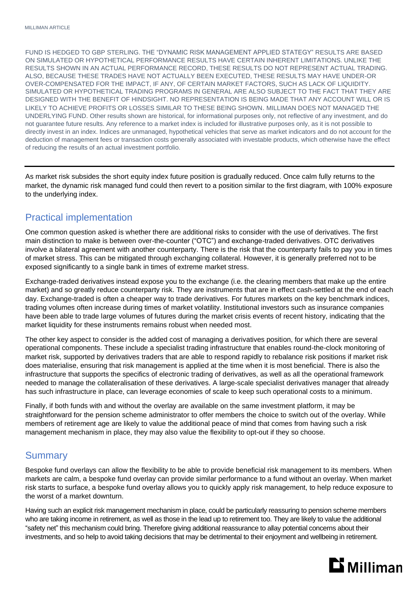FUND IS HEDGED TO GBP STERLING. THE "DYNAMIC RISK MANAGEMENT APPLIED STATEGY" RESULTS ARE BASED ON SIMULATED OR HYPOTHETICAL PERFORMANCE RESULTS HAVE CERTAIN INHERENT LIMITATIONS. UNLIKE THE RESULTS SHOWN IN AN ACTUAL PERFORMANCE RECORD, THESE RESULTS DO NOT REPRESENT ACTUAL TRADING. ALSO, BECAUSE THESE TRADES HAVE NOT ACTUALLY BEEN EXECUTED, THESE RESULTS MAY HAVE UNDER-OR OVER-COMPENSATED FOR THE IMPACT, IF ANY, OF CERTAIN MARKET FACTORS, SUCH AS LACK OF LIQUIDITY. SIMULATED OR HYPOTHETICAL TRADING PROGRAMS IN GENERAL ARE ALSO SUBJECT TO THE FACT THAT THEY ARE DESIGNED WITH THE BENEFIT OF HINDSIGHT. NO REPRESENTATION IS BEING MADE THAT ANY ACCOUNT WILL OR IS LIKELY TO ACHIEVE PROFITS OR LOSSES SIMILAR TO THESE BEING SHOWN. MILLIMAN DOES NOT MANAGED THE UNDERLYING FUND. Other results shown are historical, for informational purposes only, not reflective of any investment, and do not guarantee future results. Any reference to a market index is included for illustrative purposes only, as it is not possible to directly invest in an index. Indices are unmanaged, hypothetical vehicles that serve as market indicators and do not account for the deduction of management fees or transaction costs generally associated with investable products, which otherwise have the effect of reducing the results of an actual investment portfolio.

As market risk subsides the short equity index future position is gradually reduced. Once calm fully returns to the market, the dynamic risk managed fund could then revert to a position similar to the first diagram, with 100% exposure to the underlying index.

### Practical implementation

One common question asked is whether there are additional risks to consider with the use of derivatives. The first main distinction to make is between over-the-counter ("OTC") and exchange-traded derivatives. OTC derivatives involve a bilateral agreement with another counterparty. There is the risk that the counterparty fails to pay you in times of market stress. This can be mitigated through exchanging collateral. However, it is generally preferred not to be exposed significantly to a single bank in times of extreme market stress.

Exchange-traded derivatives instead expose you to the exchange (i.e. the clearing members that make up the entire market) and so greatly reduce counterparty risk. They are instruments that are in effect cash-settled at the end of each day. Exchange-traded is often a cheaper way to trade derivatives. For futures markets on the key benchmark indices, trading volumes often increase during times of market volatility. Institutional investors such as insurance companies have been able to trade large volumes of futures during the market crisis events of recent history, indicating that the market liquidity for these instruments remains robust when needed most.

The other key aspect to consider is the added cost of managing a derivatives position, for which there are several operational components. These include a specialist trading infrastructure that enables round-the-clock monitoring of market risk, supported by derivatives traders that are able to respond rapidly to rebalance risk positions if market risk does materialise, ensuring that risk management is applied at the time when it is most beneficial. There is also the infrastructure that supports the specifics of electronic trading of derivatives, as well as all the operational framework needed to manage the collateralisation of these derivatives. A large-scale specialist derivatives manager that already has such infrastructure in place, can leverage economies of scale to keep such operational costs to a minimum.

Finally, if both funds with and without the overlay are available on the same investment platform, it may be straightforward for the pension scheme administrator to offer members the choice to switch out of the overlay. While members of retirement age are likely to value the additional peace of mind that comes from having such a risk management mechanism in place, they may also value the flexibility to opt-out if they so choose.

#### **Summary**

Bespoke fund overlays can allow the flexibility to be able to provide beneficial risk management to its members. When markets are calm, a bespoke fund overlay can provide similar performance to a fund without an overlay. When market risk starts to surface, a bespoke fund overlay allows you to quickly apply risk management, to help reduce exposure to the worst of a market downturn.

Having such an explicit risk management mechanism in place, could be particularly reassuring to pension scheme members who are taking income in retirement, as well as those in the lead up to retirement too. They are likely to value the additional "safety net" this mechanism could bring. Therefore giving additional reassurance to allay potential concerns about their investments, and so help to avoid taking decisions that may be detrimental to their enjoyment and wellbeing in retirement.